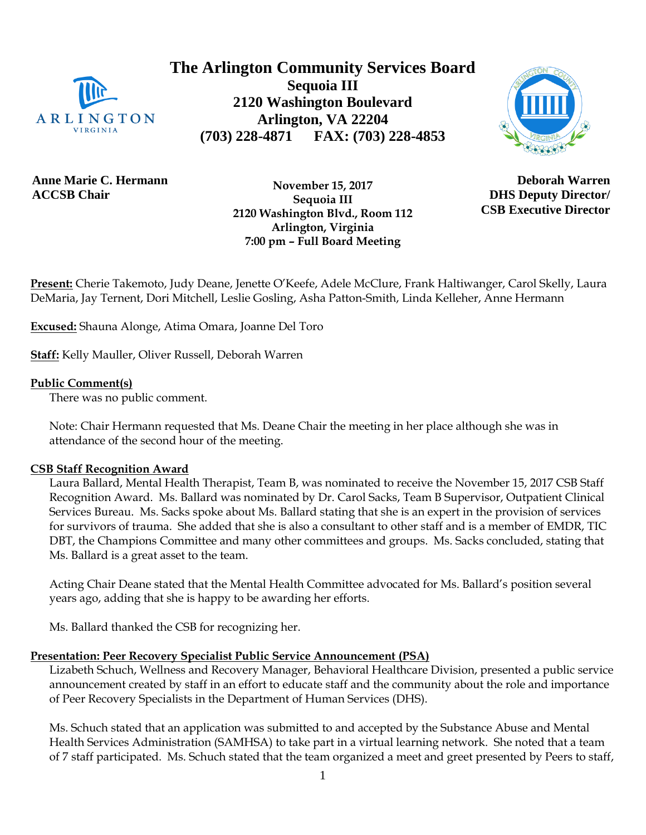

**The Arlington Community Services Board Sequoia III 2120 Washington Boulevard Arlington, VA 22204 (703) 228-4871 FAX: (703) 228-4853**



**Anne Marie C. Hermann ACCSB Chair**

 **November 15, 2017 Sequoia III 2120 Washington Blvd., Room 112 Arlington, Virginia 7:00 pm – Full Board Meeting**

**Deborah Warren DHS Deputy Director/ CSB Executive Director**

**Present:** Cherie Takemoto, Judy Deane, Jenette O'Keefe, Adele McClure, Frank Haltiwanger, Carol Skelly, Laura DeMaria, Jay Ternent, Dori Mitchell, Leslie Gosling, Asha Patton-Smith, Linda Kelleher, Anne Hermann

**Excused:** Shauna Alonge, Atima Omara, Joanne Del Toro

**Staff:** Kelly Mauller, Oliver Russell, Deborah Warren

#### **Public Comment(s)**

There was no public comment.

Note: Chair Hermann requested that Ms. Deane Chair the meeting in her place although she was in attendance of the second hour of the meeting.

#### **CSB Staff Recognition Award**

Laura Ballard, Mental Health Therapist, Team B, was nominated to receive the November 15, 2017 CSB Staff Recognition Award. Ms. Ballard was nominated by Dr. Carol Sacks, Team B Supervisor, Outpatient Clinical Services Bureau. Ms. Sacks spoke about Ms. Ballard stating that she is an expert in the provision of services for survivors of trauma. She added that she is also a consultant to other staff and is a member of EMDR, TIC DBT, the Champions Committee and many other committees and groups. Ms. Sacks concluded, stating that Ms. Ballard is a great asset to the team.

Acting Chair Deane stated that the Mental Health Committee advocated for Ms. Ballard's position several years ago, adding that she is happy to be awarding her efforts.

Ms. Ballard thanked the CSB for recognizing her.

# **Presentation: Peer Recovery Specialist Public Service Announcement (PSA)**

Lizabeth Schuch, Wellness and Recovery Manager, Behavioral Healthcare Division, presented a public service announcement created by staff in an effort to educate staff and the community about the role and importance of Peer Recovery Specialists in the Department of Human Services (DHS).

Ms. Schuch stated that an application was submitted to and accepted by the Substance Abuse and Mental Health Services Administration (SAMHSA) to take part in a virtual learning network. She noted that a team of 7 staff participated. Ms. Schuch stated that the team organized a meet and greet presented by Peers to staff,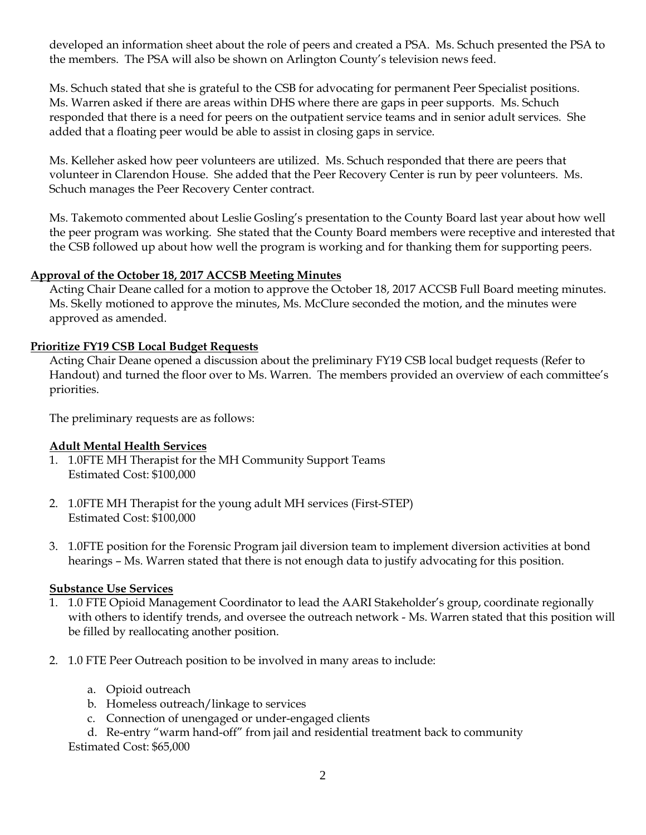developed an information sheet about the role of peers and created a PSA. Ms. Schuch presented the PSA to the members. The PSA will also be shown on Arlington County's television news feed.

Ms. Schuch stated that she is grateful to the CSB for advocating for permanent Peer Specialist positions. Ms. Warren asked if there are areas within DHS where there are gaps in peer supports. Ms. Schuch responded that there is a need for peers on the outpatient service teams and in senior adult services. She added that a floating peer would be able to assist in closing gaps in service.

Ms. Kelleher asked how peer volunteers are utilized. Ms. Schuch responded that there are peers that volunteer in Clarendon House. She added that the Peer Recovery Center is run by peer volunteers. Ms. Schuch manages the Peer Recovery Center contract.

Ms. Takemoto commented about Leslie Gosling's presentation to the County Board last year about how well the peer program was working. She stated that the County Board members were receptive and interested that the CSB followed up about how well the program is working and for thanking them for supporting peers.

## **Approval of the October 18, 2017 ACCSB Meeting Minutes**

Acting Chair Deane called for a motion to approve the October 18, 2017 ACCSB Full Board meeting minutes. Ms. Skelly motioned to approve the minutes, Ms. McClure seconded the motion, and the minutes were approved as amended.

## **Prioritize FY19 CSB Local Budget Requests**

Acting Chair Deane opened a discussion about the preliminary FY19 CSB local budget requests (Refer to Handout) and turned the floor over to Ms. Warren. The members provided an overview of each committee's priorities.

The preliminary requests are as follows:

## **Adult Mental Health Services**

- 1. 1.0FTE MH Therapist for the MH Community Support Teams Estimated Cost: \$100,000
- 2. 1.0FTE MH Therapist for the young adult MH services (First-STEP) Estimated Cost: \$100,000
- 3. 1.0FTE position for the Forensic Program jail diversion team to implement diversion activities at bond hearings – Ms. Warren stated that there is not enough data to justify advocating for this position.

## **Substance Use Services**

- 1. 1.0 FTE Opioid Management Coordinator to lead the AARI Stakeholder's group, coordinate regionally with others to identify trends, and oversee the outreach network - Ms. Warren stated that this position will be filled by reallocating another position.
- 2. 1.0 FTE Peer Outreach position to be involved in many areas to include:
	- a. Opioid outreach
	- b. Homeless outreach/linkage to services
	- c. Connection of unengaged or under-engaged clients
	- d. Re-entry "warm hand-off" from jail and residential treatment back to community

Estimated Cost: \$65,000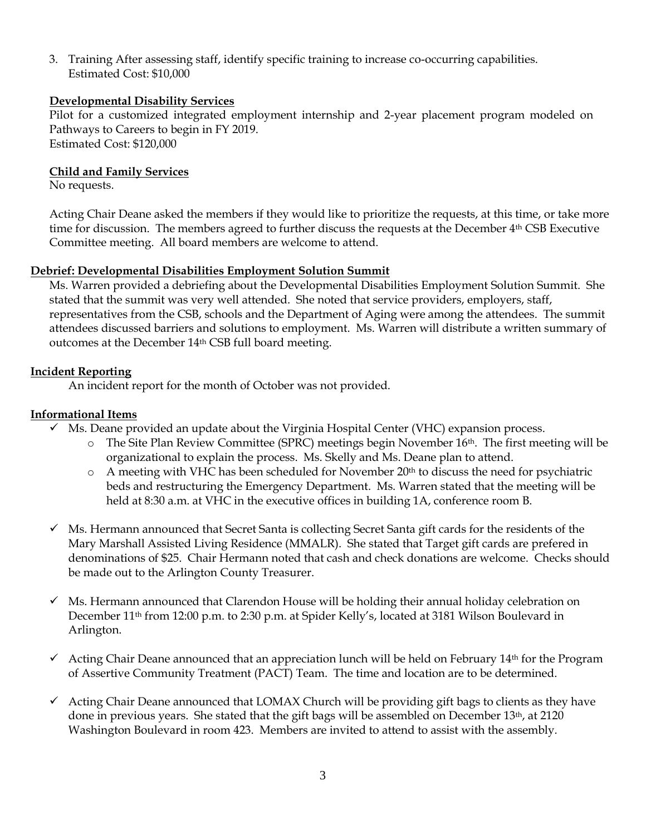3. Training After assessing staff, identify specific training to increase co-occurring capabilities. Estimated Cost: \$10,000

## **Developmental Disability Services**

Pilot for a customized integrated employment internship and 2-year placement program modeled on Pathways to Careers to begin in FY 2019. Estimated Cost: \$120,000

## **Child and Family Services**

No requests.

Acting Chair Deane asked the members if they would like to prioritize the requests, at this time, or take more time for discussion. The members agreed to further discuss the requests at the December 4th CSB Executive Committee meeting. All board members are welcome to attend.

## **Debrief: Developmental Disabilities Employment Solution Summit**

Ms. Warren provided a debriefing about the Developmental Disabilities Employment Solution Summit. She stated that the summit was very well attended. She noted that service providers, employers, staff, representatives from the CSB, schools and the Department of Aging were among the attendees. The summit attendees discussed barriers and solutions to employment. Ms. Warren will distribute a written summary of outcomes at the December 14th CSB full board meeting.

## **Incident Reporting**

An incident report for the month of October was not provided.

## **Informational Items**

- $\checkmark$  Ms. Deane provided an update about the Virginia Hospital Center (VHC) expansion process.
	- $\circ$  The Site Plan Review Committee (SPRC) meetings begin November 16<sup>th</sup>. The first meeting will be organizational to explain the process. Ms. Skelly and Ms. Deane plan to attend.
	- $\circ$  A meeting with VHC has been scheduled for November 20<sup>th</sup> to discuss the need for psychiatric beds and restructuring the Emergency Department. Ms. Warren stated that the meeting will be held at 8:30 a.m. at VHC in the executive offices in building 1A, conference room B.
- $\checkmark$  Ms. Hermann announced that Secret Santa is collecting Secret Santa gift cards for the residents of the Mary Marshall Assisted Living Residence (MMALR). She stated that Target gift cards are prefered in denominations of \$25. Chair Hermann noted that cash and check donations are welcome. Checks should be made out to the Arlington County Treasurer.
- $\checkmark$  Ms. Hermann announced that Clarendon House will be holding their annual holiday celebration on December 11th from 12:00 p.m. to 2:30 p.m. at Spider Kelly's, located at 3181 Wilson Boulevard in Arlington.
- $\checkmark$  Acting Chair Deane announced that an appreciation lunch will be held on February 14<sup>th</sup> for the Program of Assertive Community Treatment (PACT) Team. The time and location are to be determined.
- $\checkmark$  Acting Chair Deane announced that LOMAX Church will be providing gift bags to clients as they have done in previous years. She stated that the gift bags will be assembled on December  $13<sup>th</sup>$ , at 2120 Washington Boulevard in room 423. Members are invited to attend to assist with the assembly.